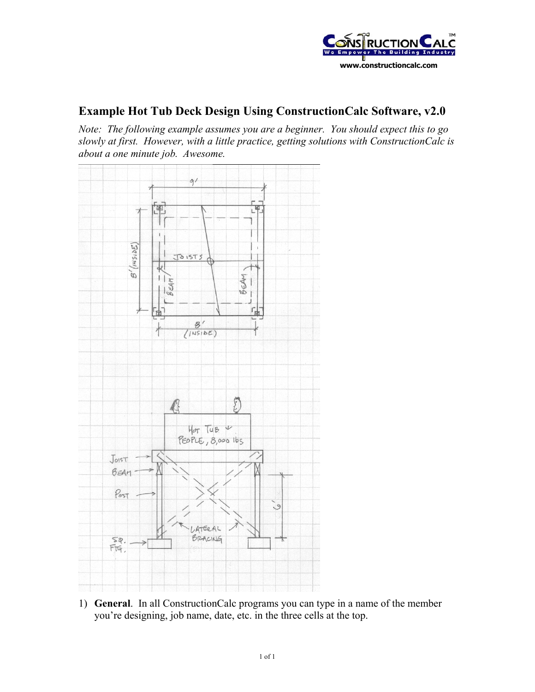

## **Example Hot Tub Deck Design Using ConstructionCalc Software, v2.0**

*Note: The following example assumes you are a beginner. You should expect this to go slowly at first. However, with a little practice, getting solutions with ConstructionCalc is about a one minute job. Awesome.*



1) **General**. In all ConstructionCalc programs you can type in a name of the member you're designing, job name, date, etc. in the three cells at the top.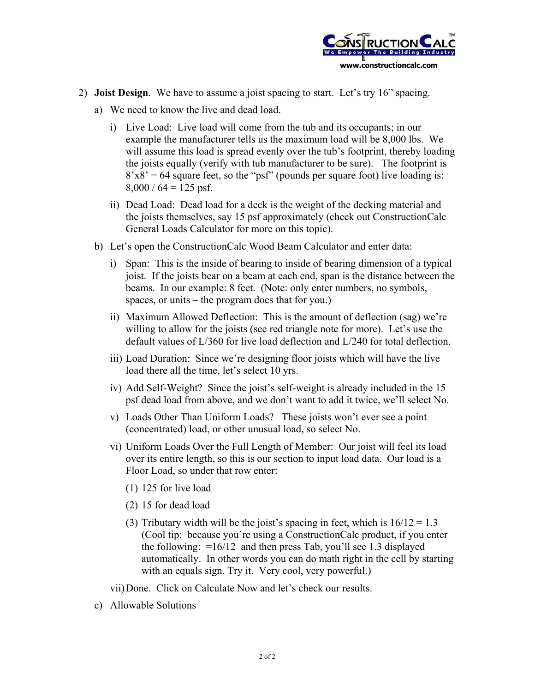

- 2) **Joist Design**. We have to assume a joist spacing to start. Let's try 16" spacing.
	- a) We need to know the live and dead load.
		- i) Live Load: Live load will come from the tub and its occupants; in our example the manufacturer tells us the maximum load will be 8,000 lbs. We will assume this load is spread evenly over the tub's footprint, thereby loading the joists equally (verify with tub manufacturer to be sure). The footprint is  $8'x8' = 64$  square feet, so the "psf" (pounds per square foot) live loading is:  $8,000 / 64 = 125$  psf.
		- ii) Dead Load: Dead load for a deck is the weight of the decking material and the joists themselves, say 15 psf approximately (check out ConstructionCalc General Loads Calculator for more on this topic).
	- b) Let's open the ConstructionCalc Wood Beam Calculator and enter data:
		- i) Span: This is the inside of bearing to inside of bearing dimension of a typical joist. If the joists bear on a beam at each end, span is the distance between the beams. In our example: 8 feet. (Note: only enter numbers, no symbols, spaces, or units – the program does that for you.)
		- ii) Maximum Allowed Deflection: This is the amount of deflection (sag) we're willing to allow for the joists (see red triangle note for more). Let's use the default values of L/360 for live load deflection and L/240 for total deflection.
		- iii) Load Duration: Since we're designing floor joists which will have the live load there all the time, let's select 10 yrs.
		- iv) Add Self-Weight? Since the joist's self-weight is already included in the 15 psf dead load from above, and we don't want to add it twice, we'll select No.
		- v) Loads Other Than Uniform Loads? These joists won't ever see a point (concentrated) load, or other unusual load, so select No.
		- vi) Uniform Loads Over the Full Length of Member: Our joist will feel its load over its entire length, so this is our section to input load data. Our load is a Floor Load, so under that row enter:
			- (1) 125 for live load
			- (2) 15 for dead load
			- (3) Tributary width will be the joist's spacing in feet, which is  $16/12 = 1.3$ (Cool tip: because you're using a ConstructionCalc product, if you enter the following:  $=16/12$  and then press Tab, you'll see 1.3 displayed automatically. In other words you can do math right in the cell by starting with an equals sign. Try it. Very cool, very powerful.)

vii) Done. Click on Calculate Now and let's check our results.

c) Allowable Solutions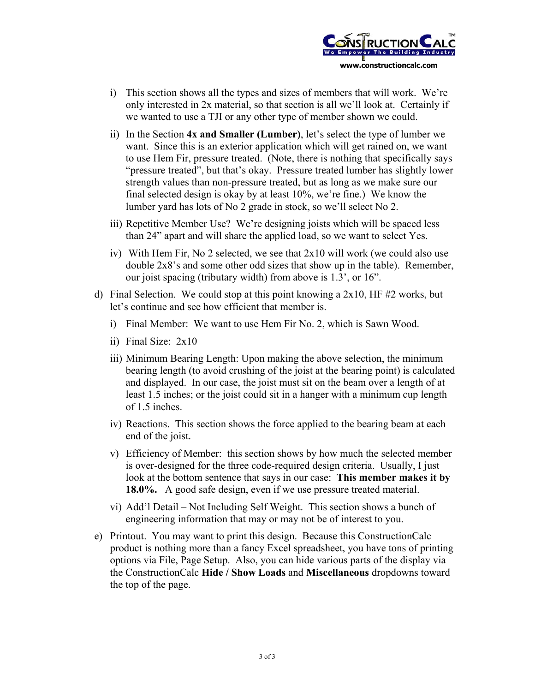

- i) This section shows all the types and sizes of members that will work. We're only interested in 2x material, so that section is all we'll look at. Certainly if we wanted to use a TJI or any other type of member shown we could.
- ii) In the Section **4x and Smaller (Lumber)**, let's select the type of lumber we want. Since this is an exterior application which will get rained on, we want to use Hem Fir, pressure treated. (Note, there is nothing that specifically says "pressure treated", but that's okay. Pressure treated lumber has slightly lower strength values than non-pressure treated, but as long as we make sure our final selected design is okay by at least 10%, we're fine.) We know the lumber yard has lots of No 2 grade in stock, so we'll select No 2.
- iii) Repetitive Member Use? We're designing joists which will be spaced less than 24" apart and will share the applied load, so we want to select Yes.
- iv) With Hem Fir, No 2 selected, we see that 2x10 will work (we could also use double 2x8's and some other odd sizes that show up in the table). Remember, our joist spacing (tributary width) from above is 1.3', or 16".
- d) Final Selection. We could stop at this point knowing a  $2x10$ , HF  $\#2$  works, but let's continue and see how efficient that member is.
	- i) Final Member: We want to use Hem Fir No. 2, which is Sawn Wood.
	- ii) Final Size: 2x10
	- iii) Minimum Bearing Length: Upon making the above selection, the minimum bearing length (to avoid crushing of the joist at the bearing point) is calculated and displayed. In our case, the joist must sit on the beam over a length of at least 1.5 inches; or the joist could sit in a hanger with a minimum cup length of 1.5 inches.
	- iv) Reactions. This section shows the force applied to the bearing beam at each end of the joist.
	- v) Efficiency of Member: this section shows by how much the selected member is over-designed for the three code-required design criteria. Usually, I just look at the bottom sentence that says in our case: **This member makes it by 18.0%.** A good safe design, even if we use pressure treated material.
	- vi) Add'l Detail Not Including Self Weight. This section shows a bunch of engineering information that may or may not be of interest to you.
- e) Printout. You may want to print this design. Because this ConstructionCalc product is nothing more than a fancy Excel spreadsheet, you have tons of printing options via File, Page Setup. Also, you can hide various parts of the display via the ConstructionCalc **Hide / Show Loads** and **Miscellaneous** dropdowns toward the top of the page.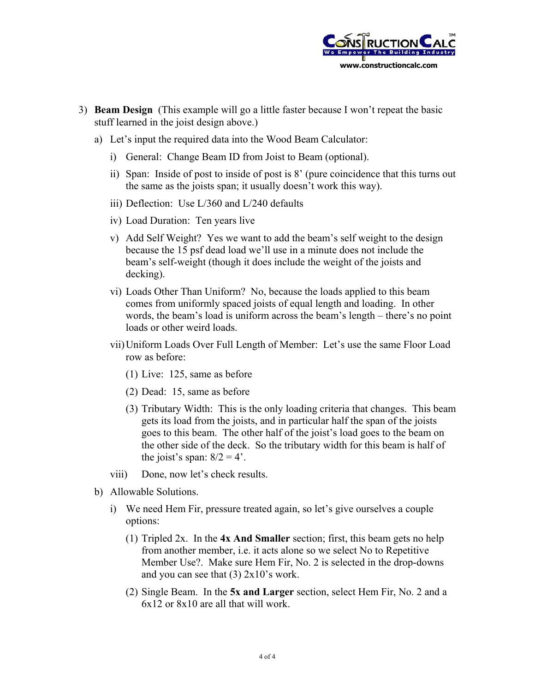

- 3) **Beam Design** (This example will go a little faster because I won't repeat the basic stuff learned in the joist design above.)
	- a) Let's input the required data into the Wood Beam Calculator:
		- i) General: Change Beam ID from Joist to Beam (optional).
		- ii) Span: Inside of post to inside of post is 8' (pure coincidence that this turns out the same as the joists span; it usually doesn't work this way).
		- iii) Deflection: Use L/360 and L/240 defaults
		- iv) Load Duration: Ten years live
		- v) Add Self Weight? Yes we want to add the beam's self weight to the design because the 15 psf dead load we'll use in a minute does not include the beam's self-weight (though it does include the weight of the joists and decking).
		- vi) Loads Other Than Uniform? No, because the loads applied to this beam comes from uniformly spaced joists of equal length and loading. In other words, the beam's load is uniform across the beam's length – there's no point loads or other weird loads.
		- vii) Uniform Loads Over Full Length of Member: Let's use the same Floor Load row as before:
			- (1) Live: 125, same as before
			- (2) Dead: 15, same as before
			- (3) Tributary Width: This is the only loading criteria that changes. This beam gets its load from the joists, and in particular half the span of the joists goes to this beam. The other half of the joist's load goes to the beam on the other side of the deck. So the tributary width for this beam is half of the joist's span:  $8/2 = 4$ '.
		- viii) Done, now let's check results.
	- b) Allowable Solutions.
		- i) We need Hem Fir, pressure treated again, so let's give ourselves a couple options:
			- (1) Tripled 2x. In the **4x And Smaller** section; first, this beam gets no help from another member, i.e. it acts alone so we select No to Repetitive Member Use?. Make sure Hem Fir, No. 2 is selected in the drop-downs and you can see that (3) 2x10's work.
			- (2) Single Beam. In the **5x and Larger** section, select Hem Fir, No. 2 and a 6x12 or 8x10 are all that will work.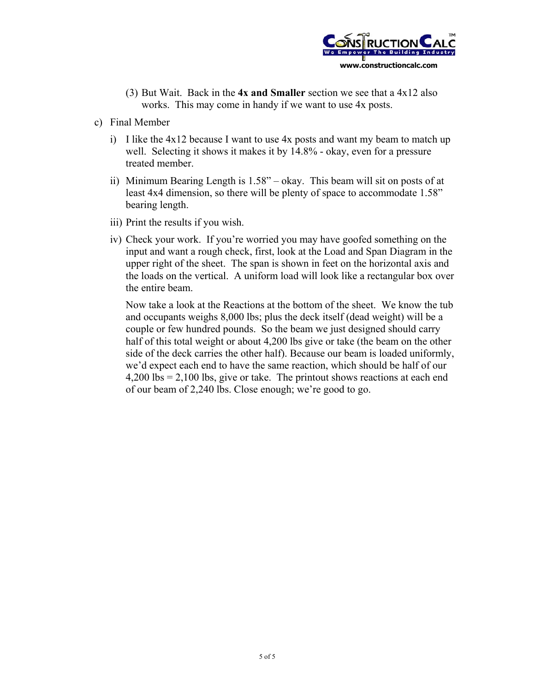

- (3) But Wait. Back in the **4x and Smaller** section we see that a 4x12 also works. This may come in handy if we want to use 4x posts.
- c) Final Member
	- i) I like the 4x12 because I want to use 4x posts and want my beam to match up well. Selecting it shows it makes it by 14.8% - okay, even for a pressure treated member.
	- ii) Minimum Bearing Length is 1.58" okay. This beam will sit on posts of at least 4x4 dimension, so there will be plenty of space to accommodate 1.58" bearing length.
	- iii) Print the results if you wish.
	- iv) Check your work. If you're worried you may have goofed something on the input and want a rough check, first, look at the Load and Span Diagram in the upper right of the sheet. The span is shown in feet on the horizontal axis and the loads on the vertical. A uniform load will look like a rectangular box over the entire beam.

Now take a look at the Reactions at the bottom of the sheet. We know the tub and occupants weighs 8,000 lbs; plus the deck itself (dead weight) will be a couple or few hundred pounds. So the beam we just designed should carry half of this total weight or about 4,200 lbs give or take (the beam on the other side of the deck carries the other half). Because our beam is loaded uniformly, we'd expect each end to have the same reaction, which should be half of our 4,200 lbs = 2,100 lbs, give or take. The printout shows reactions at each end of our beam of 2,240 lbs. Close enough; we're good to go.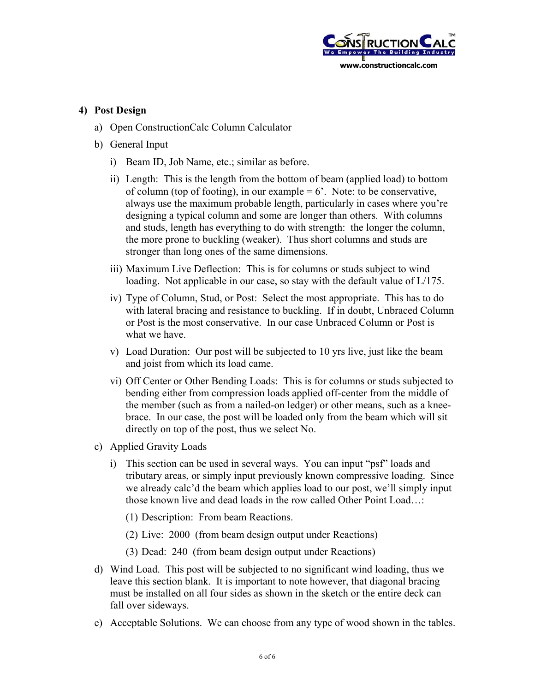

## **4) Post Design**

- a) Open ConstructionCalc Column Calculator
- b) General Input
	- i) Beam ID, Job Name, etc.; similar as before.
	- ii) Length: This is the length from the bottom of beam (applied load) to bottom of column (top of footing), in our example  $= 6'$ . Note: to be conservative, always use the maximum probable length, particularly in cases where you're designing a typical column and some are longer than others. With columns and studs, length has everything to do with strength: the longer the column, the more prone to buckling (weaker). Thus short columns and studs are stronger than long ones of the same dimensions.
	- iii) Maximum Live Deflection: This is for columns or studs subject to wind loading. Not applicable in our case, so stay with the default value of L/175.
	- iv) Type of Column, Stud, or Post: Select the most appropriate. This has to do with lateral bracing and resistance to buckling. If in doubt, Unbraced Column or Post is the most conservative. In our case Unbraced Column or Post is what we have.
	- v) Load Duration: Our post will be subjected to 10 yrs live, just like the beam and joist from which its load came.
	- vi) Off Center or Other Bending Loads: This is for columns or studs subjected to bending either from compression loads applied off-center from the middle of the member (such as from a nailed-on ledger) or other means, such as a kneebrace. In our case, the post will be loaded only from the beam which will sit directly on top of the post, thus we select No.
- c) Applied Gravity Loads
	- i) This section can be used in several ways. You can input "psf" loads and tributary areas, or simply input previously known compressive loading. Since we already calc'd the beam which applies load to our post, we'll simply input those known live and dead loads in the row called Other Point Load…:
		- (1) Description: From beam Reactions.
		- (2) Live: 2000 (from beam design output under Reactions)
		- (3) Dead: 240 (from beam design output under Reactions)
- d) Wind Load. This post will be subjected to no significant wind loading, thus we leave this section blank. It is important to note however, that diagonal bracing must be installed on all four sides as shown in the sketch or the entire deck can fall over sideways.
- e) Acceptable Solutions. We can choose from any type of wood shown in the tables.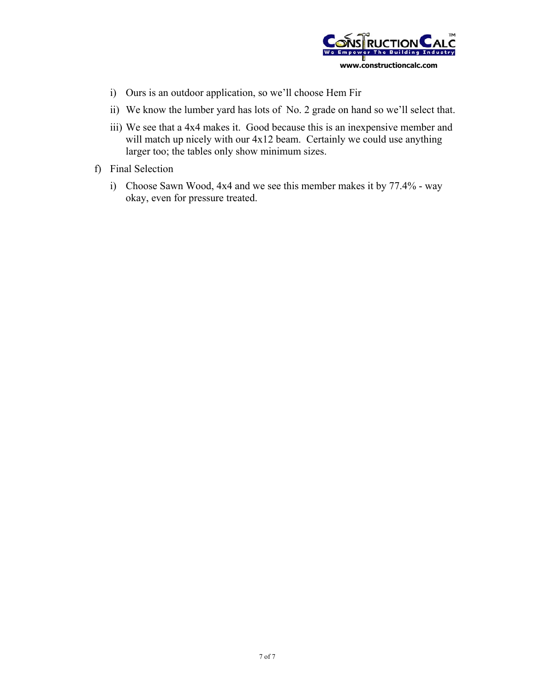

- i) Ours is an outdoor application, so we'll choose Hem Fir
- ii) We know the lumber yard has lots of No. 2 grade on hand so we'll select that.
- iii) We see that a 4x4 makes it. Good because this is an inexpensive member and will match up nicely with our  $4x12$  beam. Certainly we could use anything larger too; the tables only show minimum sizes.
- f) Final Selection
	- i) Choose Sawn Wood, 4x4 and we see this member makes it by 77.4% way okay, even for pressure treated.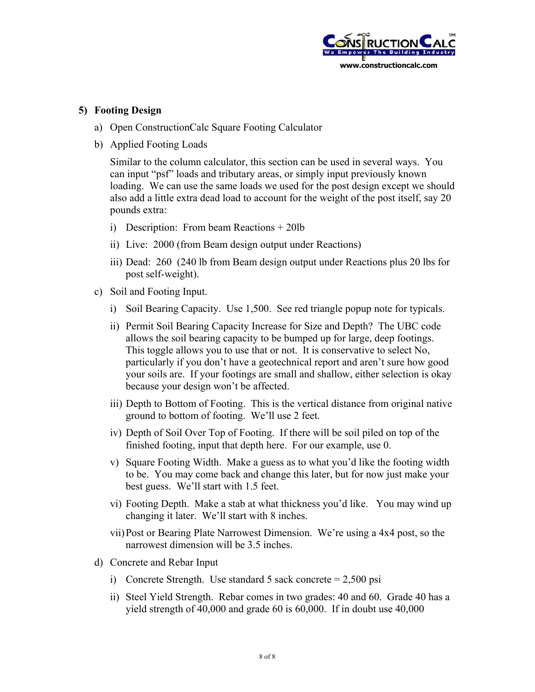

## **5) Footing Design**

- a) Open ConstructionCalc Square Footing Calculator
- b) Applied Footing Loads

Similar to the column calculator, this section can be used in several ways. You can input "psf" loads and tributary areas, or simply input previously known loading. We can use the same loads we used for the post design except we should also add a little extra dead load to account for the weight of the post itself, say 20 pounds extra:

- i) Description: From beam Reactions + 20lb
- ii) Live: 2000 (from Beam design output under Reactions)
- iii) Dead: 260 (240 lb from Beam design output under Reactions plus 20 lbs for post self-weight).
- c) Soil and Footing Input.
	- i) Soil Bearing Capacity. Use 1,500. See red triangle popup note for typicals.
	- ii) Permit Soil Bearing Capacity Increase for Size and Depth? The UBC code allows the soil bearing capacity to be bumped up for large, deep footings. This toggle allows you to use that or not. It is conservative to select No, particularly if you don't have a geotechnical report and aren't sure how good your soils are. If your footings are small and shallow, either selection is okay because your design won't be affected.
	- iii) Depth to Bottom of Footing. This is the vertical distance from original native ground to bottom of footing. We'll use 2 feet.
	- iv) Depth of Soil Over Top of Footing. If there will be soil piled on top of the finished footing, input that depth here. For our example, use 0.
	- v) Square Footing Width. Make a guess as to what you'd like the footing width to be. You may come back and change this later, but for now just make your best guess. We'll start with 1.5 feet.
	- vi) Footing Depth. Make a stab at what thickness you'd like. You may wind up changing it later. We'll start with 8 inches.
	- vii) Post or Bearing Plate Narrowest Dimension. We're using a 4x4 post, so the narrowest dimension will be 3.5 inches.
- d) Concrete and Rebar Input
	- i) Concrete Strength. Use standard 5 sack concrete  $= 2,500 \text{ psi}$
	- ii) Steel Yield Strength. Rebar comes in two grades: 40 and 60. Grade 40 has a yield strength of 40,000 and grade 60 is 60,000. If in doubt use 40,000